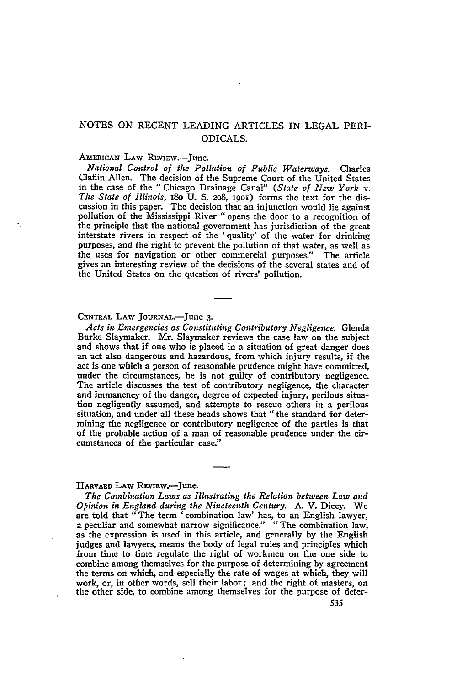## NOTES ON RECENT LEADING ARTICLES IN LEGAL PERI-ODICALS.

## AMERICAN LAW REVIEW.-June.

*National Control of the Pollution of Public Waterways.* Charles Claflin Allen. The decision of the Supreme Court of the United States in the case of the " Chicago Drainage Canal" *(State of New York v. The State of Illinois,* i8o U. **S.** 2o8, ipoi) forms the text for the discussion in this paper. The decision that an injunction would lie against pollution of the Mississippi River "opens the door to a recognition of the principle that the national government has jurisdiction of the great interstate rivers in respect of the 'quality' of the water for drinking purposes, and the right to prevent the pollution of that water, as well as the uses for navigation or other commercial purposes." The article gives an interesting review of the decisions of the several states and of the United States on the question of rivers' pollution.

## **CENTRAL** LAW JouRNAL.-June **3.**

*Acts in Emergencies as Constituting Contributory Negligence.* Glenda Burke Slaymaker. Mr. Slaymaker reviews the case law on the subject and shows that if one who is placed in a situation of great danger does an act also dangerous and hazardous, from which injury results, if the act is one which a person of reasonable prudence might have committed, under the circumstances, he is not guilty of contributory negligence. The article discusses the test of contributory negligence, the character and immanency of the danger, degree of expected injury, perilous situation negligently assumed, and attempts to rescue others in a perilous situation, and under all these heads shows that "the standard for determining the negligence or contributory negligence of the parties is that of the probable action of a man of reasonable prudence under the circumstances of the particular case."

## HAvARD **LAW** REviEw.-June.

*The Combination Laws as Illustrating the Relation between Law and Opinion in England during the Nineteenth Century.* **A.** V. Dicey. We are told that "The term 'combination law' has, to an English lawyer, a peculiar and somewhat narrow significance." "The combination law, as the expression is used in this article, and generally by the English judges and lawyers, means the body of legal rules and principles which from time to time regulate the right of workmen on the one side to combine among themselves for the purpose of determining by agreement the terms on which, and especially the rate of wages at which, they will work, or, in other words, sell their labor; and the right of masters, on the other side, to combine among themselves for the purpose of deter-